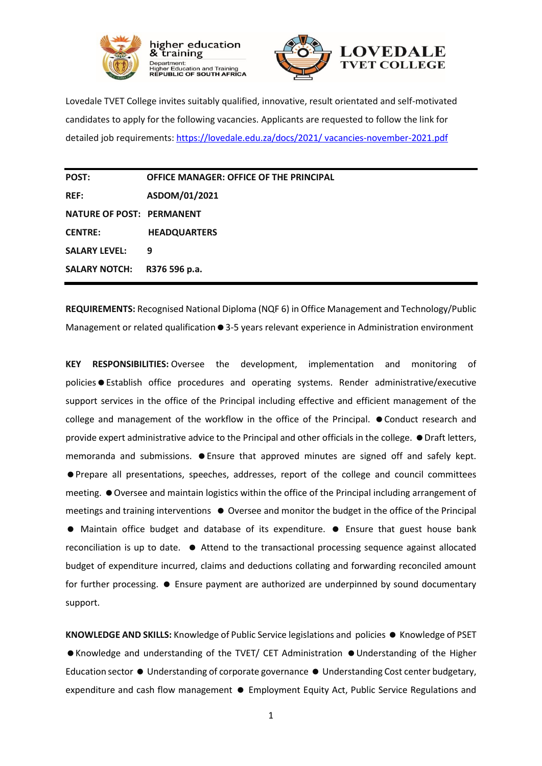



Lovedale TVET College invites suitably qualified, innovative, result orientated and self-motivated candidates to apply for the following vacancies. Applicants are requested to follow the link for detailed job requirements: [https://lovedale.edu.za/docs/2021/](https://lovedale.edu.za/docs/2021/%20vacancies-november-2021.pdf) vacancies-november-2021.pdf

| POST:                            | <b>OFFICE MANAGER: OFFICE OF THE PRINCIPAL</b> |
|----------------------------------|------------------------------------------------|
| <b>REF:</b>                      | ASDOM/01/2021                                  |
| <b>NATURE OF POST: PERMANENT</b> |                                                |
| <b>CENTRE:</b>                   | <b>HEADQUARTERS</b>                            |
| <b>SALARY LEVEL:</b>             | 9                                              |
| <b>SALARY NOTCH:</b>             | R376 596 p.a.                                  |

**REQUIREMENTS:** Recognised National Diploma (NQF 6) in Office Management and Technology/Public Management or related qualification  $\bullet$  3-5 years relevant experience in Administration environment

**KEY RESPONSIBILITIES:** Oversee the development, implementation and monitoring of policies • Establish office procedures and operating systems. Render administrative/executive support services in the office of the Principal including effective and efficient management of the college and management of the workflow in the office of the Principal.  $\bullet$  Conduct research and provide expert administrative advice to the Principal and other officials in the college.  $\bullet$  Draft letters, memoranda and submissions.  $\bullet$  Ensure that approved minutes are signed off and safely kept. Prepare all presentations, speeches, addresses, report of the college and council committees meeting.  $\bullet$  Oversee and maintain logistics within the office of the Principal including arrangement of meetings and training interventions  $\bullet$  Oversee and monitor the budget in the office of the Principal Maintain office budget and database of its expenditure. Ensure that guest house bank reconciliation is up to date.  $\bullet$  Attend to the transactional processing sequence against allocated budget of expenditure incurred, claims and deductions collating and forwarding reconciled amount for further processing.  $\bullet$  Ensure payment are authorized are underpinned by sound documentary support.

**KNOWLEDGE AND SKILLS:** Knowledge of Public Service legislations and policies ● Knowledge of PSET ● Knowledge and understanding of the TVET/ CET Administration ● Understanding of the Higher Education sector  $\bullet$  Understanding of corporate governance  $\bullet$  Understanding Cost center budgetary, expenditure and cash flow management  $\bullet$  Employment Equity Act, Public Service Regulations and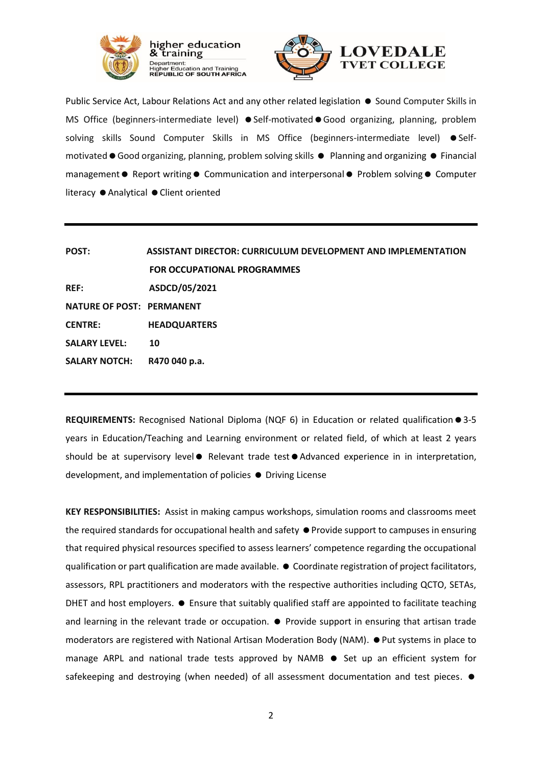

training



Public Service Act, Labour Relations Act and any other related legislation  $\bullet$  Sound Computer Skills in MS Office (beginners-intermediate level) ● Self-motivated ● Good organizing, planning, problem solving skills Sound Computer Skills in MS Office (beginners-intermediate level) Selfmotivated ● Good organizing, planning, problem solving skills ● Planning and organizing ● Financial management  $\bullet$  Report writing  $\bullet$  Communication and interpersonal  $\bullet$  Problem solving  $\bullet$  Computer literacy ● Analytical ● Client oriented

| POST:                            | <b>ASSISTANT DIRECTOR: CURRICULUM DEVELOPMENT AND IMPLEMENTATION</b> |  |
|----------------------------------|----------------------------------------------------------------------|--|
|                                  | <b>FOR OCCUPATIONAL PROGRAMMES</b>                                   |  |
| <b>REF:</b>                      | ASDCD/05/2021                                                        |  |
| <b>NATURE OF POST: PERMANENT</b> |                                                                      |  |
| <b>CENTRE:</b>                   | <b>HEADQUARTERS</b>                                                  |  |
| <b>SALARY LEVEL:</b>             | 10                                                                   |  |
| <b>SALARY NOTCH:</b>             | R470 040 p.a.                                                        |  |

**REQUIREMENTS:** Recognised National Diploma (NQF 6) in Education or related qualification ● 3-5 years in Education/Teaching and Learning environment or related field, of which at least 2 years should be at supervisory level • Relevant trade test • Advanced experience in in interpretation, development, and implementation of policies  $\bullet$  Driving License

**KEY RESPONSIBILITIES:** Assist in making campus workshops, simulation rooms and classrooms meet the required standards for occupational health and safety  $\bullet$  Provide support to campuses in ensuring that required physical resources specified to assess learners' competence regarding the occupational qualification or part qualification are made available.  $\bullet$  Coordinate registration of project facilitators, assessors, RPL practitioners and moderators with the respective authorities including QCTO, SETAs, DHET and host employers.  $\bullet$  Ensure that suitably qualified staff are appointed to facilitate teaching and learning in the relevant trade or occupation.  $\bullet$  Provide support in ensuring that artisan trade moderators are registered with National Artisan Moderation Body (NAM).  $\bullet$  Put systems in place to manage ARPL and national trade tests approved by NAMB  $\bullet$  Set up an efficient system for safekeeping and destroying (when needed) of all assessment documentation and test pieces.  $\bullet$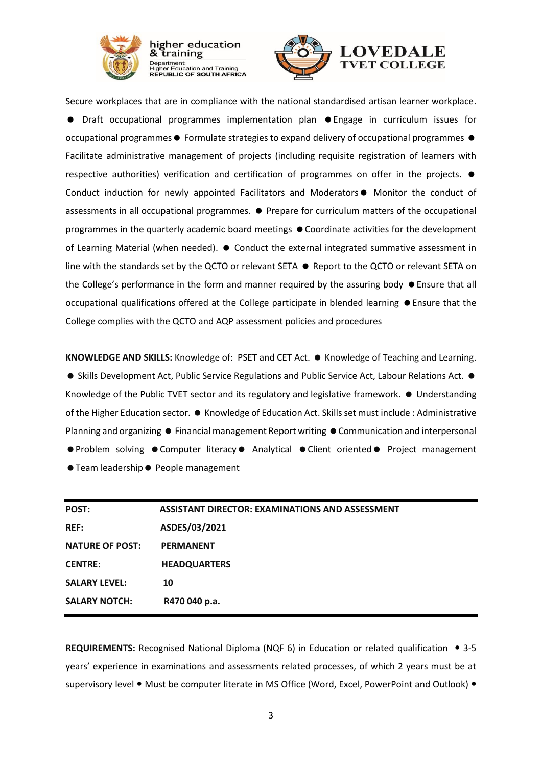

Department.<br>Higher Education and Training<br>**REPUBLIC OF SOUTH AFRICA** 

Secure workplaces that are in compliance with the national standardised artisan learner workplace. Draft occupational programmes implementation plan Engage in curriculum issues for occupational programmes  $\bullet$  Formulate strategies to expand delivery of occupational programmes  $\bullet$ Facilitate administrative management of projects (including requisite registration of learners with respective authorities) verification and certification of programmes on offer in the projects.  $\bullet$ Conduct induction for newly appointed Facilitators and Moderators • Monitor the conduct of assessments in all occupational programmes.  $\bullet$  Prepare for curriculum matters of the occupational programmes in the quarterly academic board meetings  $\bullet$  Coordinate activities for the development of Learning Material (when needed).  $\bullet$  Conduct the external integrated summative assessment in line with the standards set by the QCTO or relevant SETA  $\bullet$  Report to the QCTO or relevant SETA on the College's performance in the form and manner required by the assuring body  $\bullet$  Ensure that all occupational qualifications offered at the College participate in blended learning  $\bullet$  Ensure that the College complies with the QCTO and AQP assessment policies and procedures

KNOWLEDGE AND SKILLS: Knowledge of: PSET and CET Act. ● Knowledge of Teaching and Learning. ● Skills Development Act, Public Service Regulations and Public Service Act, Labour Relations Act. ● Knowledge of the Public TVET sector and its regulatory and legislative framework.  $\bullet$  Understanding of the Higher Education sector.  $\bullet$  Knowledge of Education Act. Skills set must include : Administrative Planning and organizing  $\bullet$  Financial management Report writing  $\bullet$  Communication and interpersonal ● Problem solving ● Computer literacy ● Analytical ● Client oriented ● Project management ● Team leadership ● People management

| POST:                  | <b>ASSISTANT DIRECTOR: EXAMINATIONS AND ASSESSMENT</b> |
|------------------------|--------------------------------------------------------|
| <b>REF:</b>            | ASDES/03/2021                                          |
| <b>NATURE OF POST:</b> | <b>PERMANENT</b>                                       |
| <b>CENTRE:</b>         | <b>HEADQUARTERS</b>                                    |
| <b>SALARY LEVEL:</b>   | 10                                                     |
| <b>SALARY NOTCH:</b>   | R470 040 p.a.                                          |

**REQUIREMENTS:** Recognised National Diploma (NQF 6) in Education or related qualification 3-5 years' experience in examinations and assessments related processes, of which 2 years must be at supervisory level • Must be computer literate in MS Office (Word, Excel, PowerPoint and Outlook) •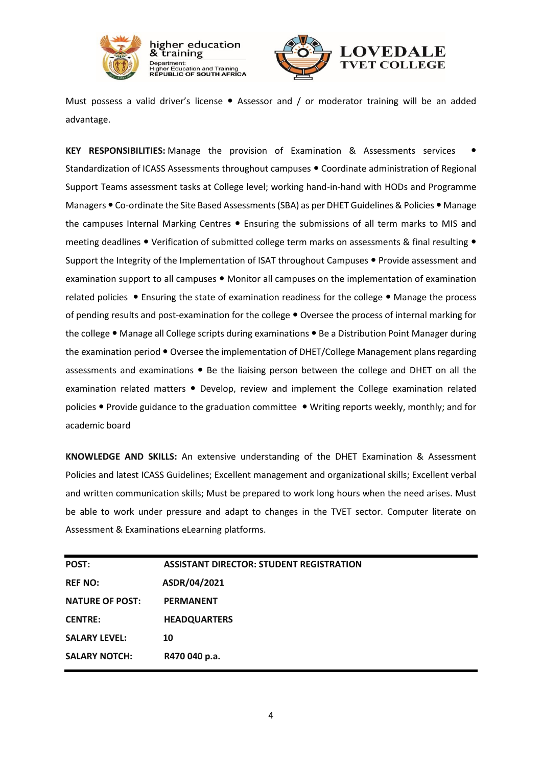

higher education training Department:<br>Higher Education and Training<br>REPUBLIC OF SOUTH AFRICA



Must possess a valid driver's license  $\bullet$  Assessor and / or moderator training will be an added advantage.

**KEY RESPONSIBILITIES:** Manage the provision of Examination & Assessments services Standardization of ICASS Assessments throughout campuses . Coordinate administration of Regional Support Teams assessment tasks at College level; working hand-in-hand with HODs and Programme Managers • Co-ordinate the Site Based Assessments (SBA) as per DHET Guidelines & Policies • Manage the campuses Internal Marking Centres . Ensuring the submissions of all term marks to MIS and meeting deadlines  $\bullet$  Verification of submitted college term marks on assessments & final resulting  $\bullet$ Support the Integrity of the Implementation of ISAT throughout Campuses . Provide assessment and examination support to all campuses  $\bullet$  Monitor all campuses on the implementation of examination related policies . Ensuring the state of examination readiness for the college . Manage the process of pending results and post-examination for the college . Oversee the process of internal marking for the college • Manage all College scripts during examinations • Be a Distribution Point Manager during the examination period  $\bullet$  Oversee the implementation of DHET/College Management plans regarding assessments and examinations  $\bullet$  Be the liaising person between the college and DHET on all the examination related matters . Develop, review and implement the College examination related policies • Provide guidance to the graduation committee • Writing reports weekly, monthly; and for academic board

**KNOWLEDGE AND SKILLS:** An extensive understanding of the DHET Examination & Assessment Policies and latest ICASS Guidelines; Excellent management and organizational skills; Excellent verbal and written communication skills; Must be prepared to work long hours when the need arises. Must be able to work under pressure and adapt to changes in the TVET sector. Computer literate on Assessment & Examinations eLearning platforms.

| <b>POST:</b>           | <b>ASSISTANT DIRECTOR: STUDENT REGISTRATION</b> |
|------------------------|-------------------------------------------------|
| <b>REF NO:</b>         | ASDR/04/2021                                    |
| <b>NATURE OF POST:</b> | <b>PERMANENT</b>                                |
| <b>CENTRE:</b>         | <b>HEADQUARTERS</b>                             |
| <b>SALARY LEVEL:</b>   | 10                                              |
| <b>SALARY NOTCH:</b>   | R470 040 p.a.                                   |
|                        |                                                 |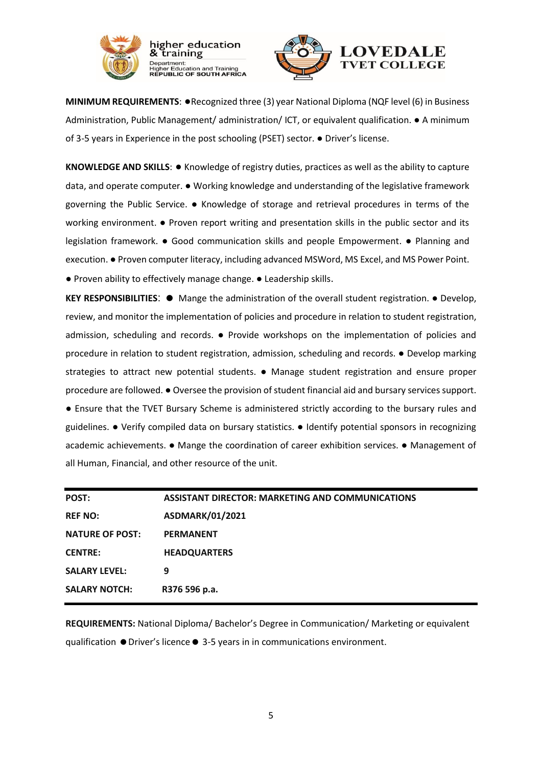

antment.<br>her Education and Training<br>**'UBLIC OF SOUTH AFRICA** 



**MINIMUM REQUIREMENTS**: ●Recognized three (3) year National Diploma (NQF level (6) in Business Administration, Public Management/ administration/ ICT, or equivalent qualification. ● A minimum of 3-5 years in Experience in the post schooling (PSET) sector. ● Driver's license.

**KNOWLEDGE AND SKILLS**: ● Knowledge of registry duties, practices as well as the ability to capture data, and operate computer. ● Working knowledge and understanding of the legislative framework governing the Public Service. ● Knowledge of storage and retrieval procedures in terms of the working environment. ● Proven report writing and presentation skills in the public sector and its legislation framework. ● Good communication skills and people Empowerment. ● Planning and execution. ● Proven computer literacy, including advanced MSWord, MS Excel, and MS Power Point. ● Proven ability to effectively manage change. ● Leadership skills.

**KEY RESPONSIBILITIES: ●** Mange the administration of the overall student registration. ● Develop, review, and monitor the implementation of policies and procedure in relation to student registration, admission, scheduling and records. ● Provide workshops on the implementation of policies and procedure in relation to student registration, admission, scheduling and records. ● Develop marking strategies to attract new potential students. • Manage student registration and ensure proper procedure are followed. ● Oversee the provision of student financial aid and bursary services support. ● Ensure that the TVET Bursary Scheme is administered strictly according to the bursary rules and guidelines. ● Verify compiled data on bursary statistics. ● Identify potential sponsors in recognizing academic achievements. ● Mange the coordination of career exhibition services. ● Management of all Human, Financial, and other resource of the unit.

| POST:                  | <b>ASSISTANT DIRECTOR: MARKETING AND COMMUNICATIONS</b> |
|------------------------|---------------------------------------------------------|
| <b>REF NO:</b>         | <b>ASDMARK/01/2021</b>                                  |
| <b>NATURE OF POST:</b> | <b>PERMANENT</b>                                        |
| <b>CENTRE:</b>         | <b>HEADQUARTERS</b>                                     |
| <b>SALARY LEVEL:</b>   | 9                                                       |
| <b>SALARY NOTCH:</b>   | R376 596 p.a.                                           |

**REQUIREMENTS:** National Diploma/ Bachelor's Degree in Communication/ Marketing or equivalent qualification Driver's licence 3-5 years in in communications environment.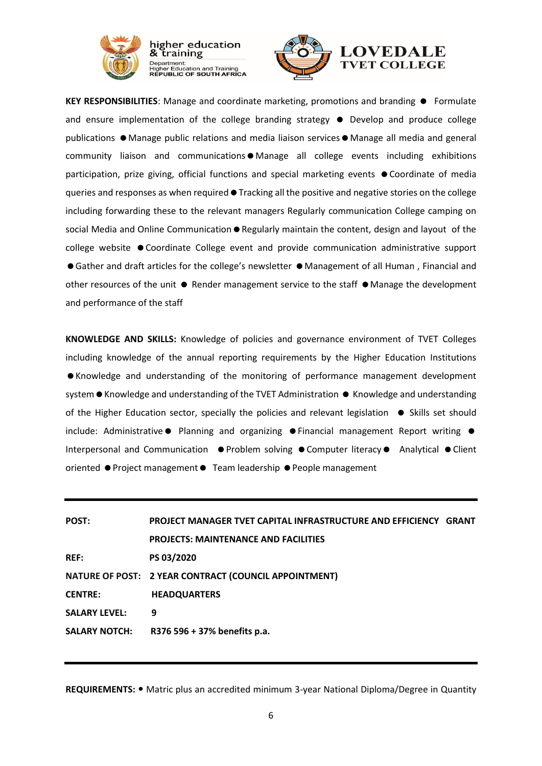

Department.<br>Higher Education and Training<br>**REPUBLIC OF SOUTH AFRICA** 

**KEY RESPONSIBILITIES:** Manage and coordinate marketing, promotions and branding  $\bullet$  Formulate and ensure implementation of the college branding strategy  $\bullet$  Develop and produce college publications  $\bullet$  Manage public relations and media liaison services  $\bullet$  Manage all media and general  $community$  liaison and communications $\bullet$  Manage all college events including exhibitions participation, prize giving, official functions and special marketing events  $\bullet$  Coordinate of media queries and responses as when required  $\bullet$  Tracking all the positive and negative stories on the college including forwarding these to the relevant managers Regularly communication College camping on social Media and Online Communication  $\bullet$  Regularly maintain the content, design and layout of the college website  $\bullet$  Coordinate College event and provide communication administrative support ● Gather and draft articles for the college's newsletter ● Management of all Human, Financial and other resources of the unit  $\bullet$  Render management service to the staff  $\bullet$  Manage the development and performance of the staff

**KNOWLEDGE AND SKILLS:** Knowledge of policies and governance environment of TVET Colleges including knowledge of the annual reporting requirements by the Higher Education Institutions Knowledge and understanding of the monitoring of performance management development system • Knowledge and understanding of the TVET Administration • Knowledge and understanding of the Higher Education sector, specially the policies and relevant legislation  $\bullet$  Skills set should include: Administrative  $\bullet$  Planning and organizing  $\bullet$  Financial management Report writing  $\bullet$ Interpersonal and Communication  $\bullet$  Problem solving  $\bullet$  Computer literacy  $\bullet$  Analytical  $\bullet$  Client oriented ● Project management ● Team leadership ● People management

| POST:                | <b>PROJECT MANAGER TVET CAPITAL INFRASTRUCTURE AND EFFICIENCY GRANT</b> |  |
|----------------------|-------------------------------------------------------------------------|--|
|                      | <b>PROJECTS: MAINTENANCE AND FACILITIES</b>                             |  |
| <b>REF:</b>          | PS 03/2020                                                              |  |
|                      | NATURE OF POST: 2 YEAR CONTRACT (COUNCIL APPOINTMENT)                   |  |
| <b>CENTRE:</b>       | <b>HEADQUARTERS</b>                                                     |  |
| <b>SALARY LEVEL:</b> | 9                                                                       |  |
| <b>SALARY NOTCH:</b> | R376 596 + 37% benefits p.a.                                            |  |

**REQUIREMENTS:** Matric plus an accredited minimum 3-year National Diploma/Degree in Quantity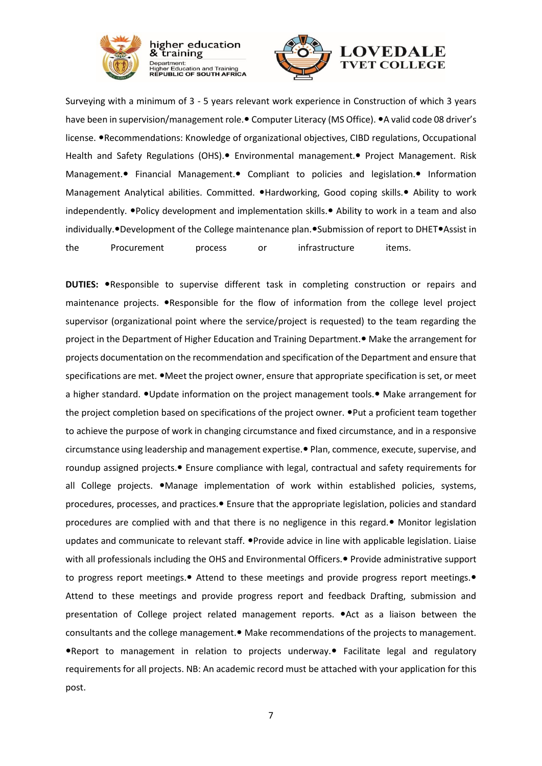

higher education training

Department:<br>Higher Education and Training<br>REPUBLIC OF SOUTH AFRICA

Surveying with a minimum of 3 - 5 years relevant work experience in Construction of which 3 years have been in supervision/management role. Computer Literacy (MS Office). A valid code 08 driver's license. • Recommendations: Knowledge of organizational objectives, CIBD regulations, Occupational Health and Safety Regulations (OHS). Environmental management. Project Management. Risk Management. Financial Management. Compliant to policies and legislation. Information Management Analytical abilities. Committed. . Hardworking, Good coping skills. • Ability to work independently. • Policy development and implementation skills. • Ability to work in a team and also individually. • Development of the College maintenance plan. • Submission of report to DHET • Assist in the Procurement process or infrastructure items.

**DUTIES: •**Responsible to supervise different task in completing construction or repairs and maintenance projects. • Responsible for the flow of information from the college level project supervisor (organizational point where the service/project is requested) to the team regarding the project in the Department of Higher Education and Training Department. • Make the arrangement for projects documentation on the recommendation and specification of the Department and ensure that specifications are met.  $\bullet$  Meet the project owner, ensure that appropriate specification is set, or meet a higher standard. • Update information on the project management tools. • Make arrangement for the project completion based on specifications of the project owner.  $\bullet$  Put a proficient team together to achieve the purpose of work in changing circumstance and fixed circumstance, and in a responsive circumstance using leadership and management expertise. Plan, commence, execute, supervise, and roundup assigned projects. • Ensure compliance with legal, contractual and safety requirements for all College projects. • Manage implementation of work within established policies, systems, procedures, processes, and practices. Ensure that the appropriate legislation, policies and standard procedures are complied with and that there is no negligence in this regard. $\bullet$  Monitor legislation updates and communicate to relevant staff. . Provide advice in line with applicable legislation. Liaise with all professionals including the OHS and Environmental Officers. Provide administrative support to progress report meetings. • Attend to these meetings and provide progress report meetings. Attend to these meetings and provide progress report and feedback Drafting, submission and presentation of College project related management reports.  $\bullet$ Act as a liaison between the consultants and the college management. • Make recommendations of the projects to management. Report to management in relation to projects underway. Facilitate legal and regulatory requirements for all projects. NB: An academic record must be attached with your application for this post.

7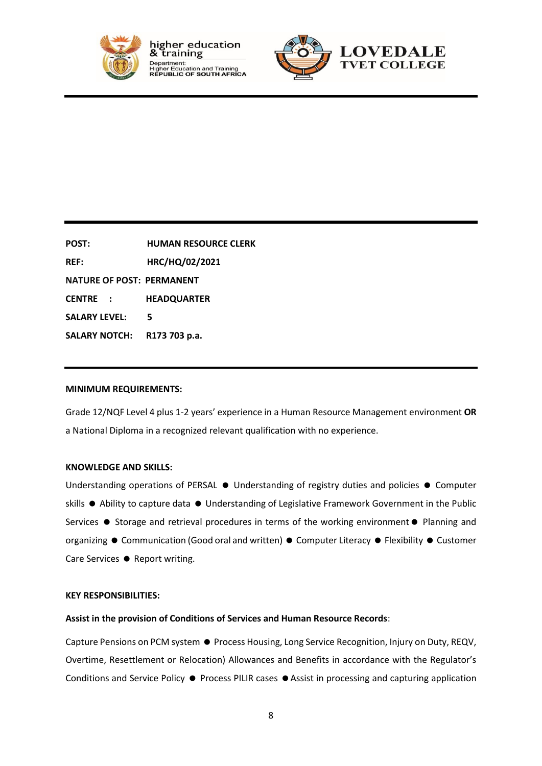



**POST: HUMAN RESOURCE CLERK REF: HRC/HQ/02/2021 NATURE OF POST: PERMANENT CENTRE : HEADQUARTER SALARY LEVEL: 5 SALARY NOTCH: R173 703 p.a.**

#### **MINIMUM REQUIREMENTS:**

Grade 12/NQF Level 4 plus 1-2 years' experience in a Human Resource Management environment **OR** a National Diploma in a recognized relevant qualification with no experience.

#### **KNOWLEDGE AND SKILLS:**

Understanding operations of PERSAL  $\bullet$  Understanding of registry duties and policies  $\bullet$  Computer skills  $\bullet$  Ability to capture data  $\bullet$  Understanding of Legislative Framework Government in the Public Services  $\bullet$  Storage and retrieval procedures in terms of the working environment  $\bullet$  Planning and organizing  $\bullet$  Communication (Good oral and written)  $\bullet$  Computer Literacy  $\bullet$  Flexibility  $\bullet$  Customer Care Services ● Report writing.

### **KEY RESPONSIBILITIES:**

#### **Assist in the provision of Conditions of Services and Human Resource Records**:

Capture Pensions on PCM system  $\bullet$  Process Housing, Long Service Recognition, Injury on Duty, REQV, Overtime, Resettlement or Relocation) Allowances and Benefits in accordance with the Regulator's Conditions and Service Policy  $\bullet$  Process PILIR cases  $\bullet$  Assist in processing and capturing application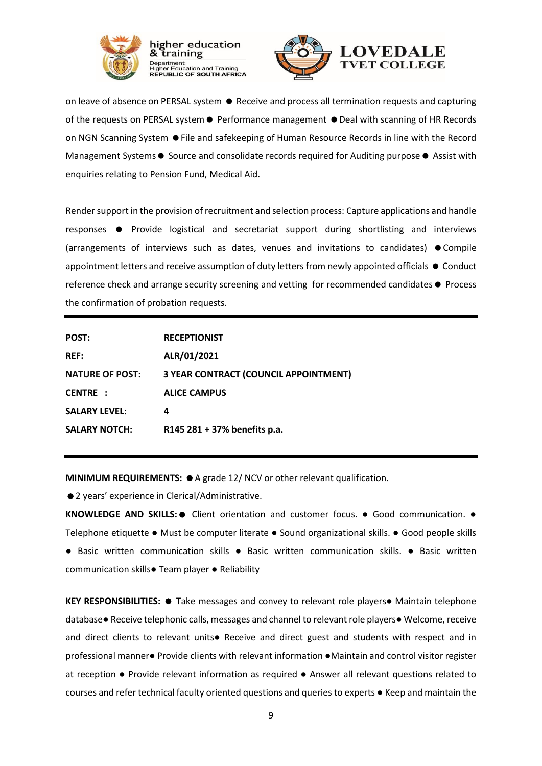

antment.<br>her Education and Training<br>**'UBLIC OF SOUTH AFRICA** 

on leave of absence on PERSAL system  $\bullet$  Receive and process all termination requests and capturing of the requests on PERSAL system  $\bullet$  Performance management  $\bullet$  Deal with scanning of HR Records on NGN Scanning System ● File and safekeeping of Human Resource Records in line with the Record Management Systems  $\bullet$  Source and consolidate records required for Auditing purpose  $\bullet$  Assist with enquiries relating to Pension Fund, Medical Aid.

Render support in the provision of recruitment and selection process: Capture applications and handle responses Provide logistical and secretariat support during shortlisting and interviews (arrangements of interviews such as dates, venues and invitations to candidates)  $\bullet$  Compile appointment letters and receive assumption of duty letters from newly appointed officials  $\bullet$  Conduct reference check and arrange security screening and vetting for recommended candidates  $\bullet$  Process the confirmation of probation requests.

| <b>POST:</b>           | <b>RECEPTIONIST</b>                          |
|------------------------|----------------------------------------------|
| <b>REF:</b>            | ALR/01/2021                                  |
| <b>NATURE OF POST:</b> | <b>3 YEAR CONTRACT (COUNCIL APPOINTMENT)</b> |
| <b>CENTRE :</b>        | <b>ALICE CAMPUS</b>                          |
| <b>SALARY LEVEL:</b>   | 4                                            |
| <b>SALARY NOTCH:</b>   | R145 281 + 37% benefits p.a.                 |

**MINIMUM REQUIREMENTS:**  $\bullet$  A grade 12/ NCV or other relevant qualification.

● 2 years' experience in Clerical/Administrative.

**KNOWLEDGE AND SKILLS: ●** Client orientation and customer focus. ● Good communication. ● Telephone etiquette ● Must be computer literate ● Sound organizational skills. ● Good people skills ● Basic written communication skills ● Basic written communication skills. ● Basic written communication skills● Team player ● Reliability

**KEY RESPONSIBILITIES: ●** Take messages and convey to relevant role players● Maintain telephone database● Receive telephonic calls, messages and channel to relevant role players● Welcome, receive and direct clients to relevant units● Receive and direct guest and students with respect and in professional manner● Provide clients with relevant information ●Maintain and control visitor register at reception ● Provide relevant information as required ● Answer all relevant questions related to courses and refer technical faculty oriented questions and queries to experts ● Keep and maintain the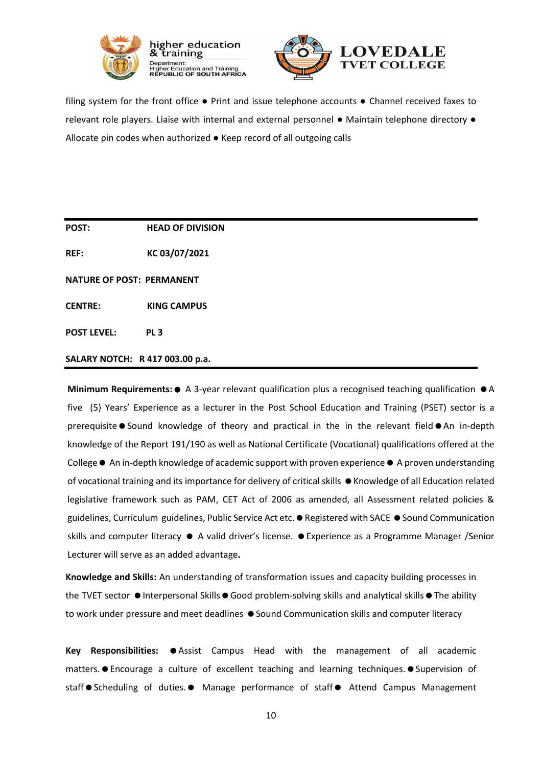



filing system for the front office ● Print and issue telephone accounts ● Channel received faxes to relevant role players. Liaise with internal and external personnel ● Maintain telephone directory ● Allocate pin codes when authorized ● Keep record of all outgoing calls

**POST: HEAD OF DIVISION** 

**REF: KC 03/07/2021**

**NATURE OF POST: PERMANENT**

**CENTRE: KING CAMPUS**

**POST LEVEL: PL 3**

**SALARY NOTCH: R 417 003.00 p.a.**

**Minimum Requirements: ●** A 3-year relevant qualification plus a recognised teaching qualification ● A five (5) Years' Experience as a lecturer in the Post School Education and Training (PSET) sector is a prerequisite  $\bullet$  Sound knowledge of theory and practical in the in the relevant field  $\bullet$  An in-depth knowledge of the Report 191/190 as well as National Certificate (Vocational) qualifications offered at the College  $\bullet$  An in-depth knowledge of academic support with proven experience  $\bullet$  A proven understanding of vocational training and its importance for delivery of critical skills  $\bullet$  Knowledge of all Education related legislative framework such as PAM, CET Act of 2006 as amended, all Assessment related policies & guidelines, Curriculum guidelines, Public Service Act etc. • Registered with SACE • Sound Communication skills and computer literacy  $\bullet$  A valid driver's license.  $\bullet$  Experience as a Programme Manager /Senior Lecturer will serve as an added advantage**.** 

**Knowledge and Skills:** An understanding of transformation issues and capacity building processes in the TVET sector  $\bullet$  Interpersonal Skills  $\bullet$  Good problem-solving skills and analytical skills  $\bullet$  The ability to work under pressure and meet deadlines  $\bullet$  Sound Communication skills and computer literacy

**Key Responsibilities:**  $\bullet$  Assist Campus Head with the management of all academic matters.  $\bullet$  Encourage a culture of excellent teaching and learning techniques.  $\bullet$  Supervision of staff Scheduling of duties. • Manage performance of staff • Attend Campus Management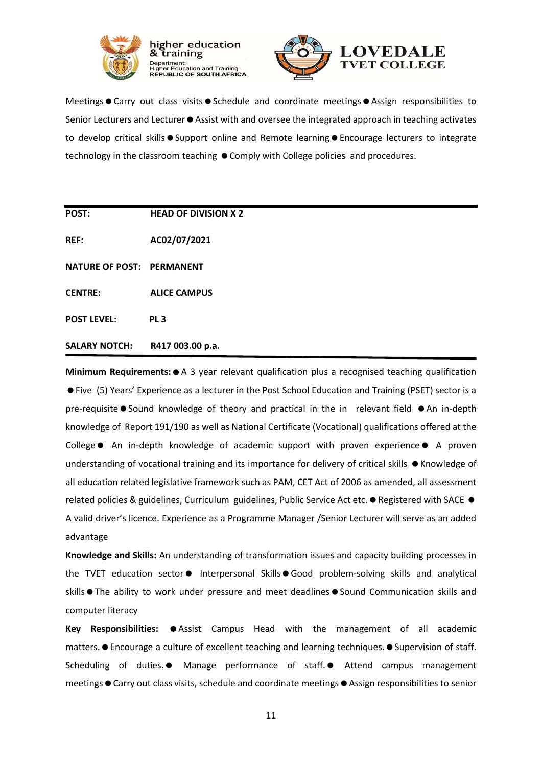



Meetings Carry out class visits Schedule and coordinate meetings Assign responsibilities to Senior Lecturers and Lecturer  $\bullet$  Assist with and oversee the integrated approach in teaching activates to develop critical skills  $\bullet$  Support online and Remote learning  $\bullet$  Encourage lecturers to integrate technology in the classroom teaching  $\bullet$  Comply with College policies and procedures.

**POST: HEAD OF DIVISION X 2 REF: AC02/07/2021 NATURE OF POST: PERMANENT CENTRE: ALICE CAMPUS POST LEVEL: PL 3 SALARY NOTCH: R417 003.00 p.a.**

**Minimum Requirements:** A 3 year relevant qualification plus a recognised teaching qualification Five (5) Years' Experience as a lecturer in the Post School Education and Training (PSET) sector is a pre-requisite  $\bullet$  Sound knowledge of theory and practical in the in relevant field  $\bullet$  An in-depth knowledge of Report 191/190 as well as National Certificate (Vocational) qualifications offered at the College • An in-depth knowledge of academic support with proven experience • A proven understanding of vocational training and its importance for delivery of critical skills  $\bullet$  Knowledge of all education related legislative framework such as PAM, CET Act of 2006 as amended, all assessment related policies & guidelines, Curriculum guidelines, Public Service Act etc.  $\bullet$  Registered with SACE  $\bullet$ A valid driver's licence. Experience as a Programme Manager /Senior Lecturer will serve as an added advantage

**Knowledge and Skills:** An understanding of transformation issues and capacity building processes in the TVET education sector Interpersonal Skills Good problem-solving skills and analytical skills The ability to work under pressure and meet deadlines  $\bullet$  Sound Communication skills and computer literacy

Key Responsibilities:  $\bullet$  Assist Campus Head with the management of all academic matters. • Encourage a culture of excellent teaching and learning techniques. • Supervision of staff. Scheduling of duties. • Manage performance of staff. • Attend campus management meetings  $\bullet$  Carry out class visits, schedule and coordinate meetings  $\bullet$  Assign responsibilities to senior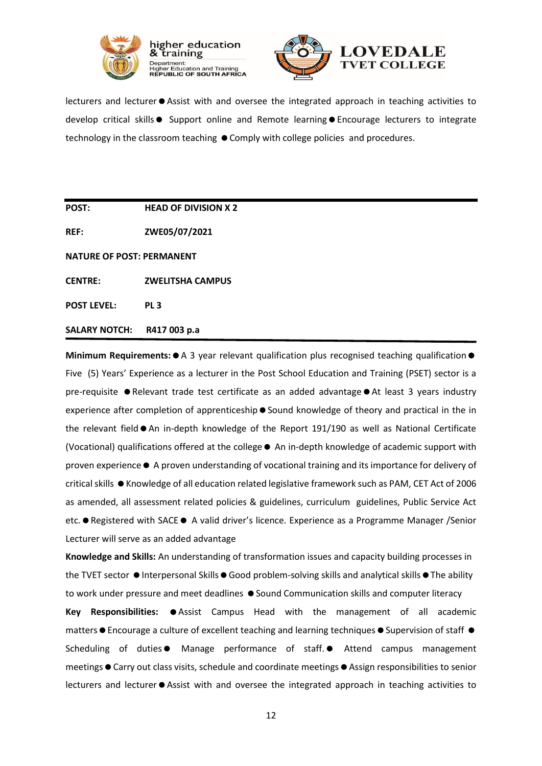



lecturers and lecturer  $\bullet$  Assist with and oversee the integrated approach in teaching activities to develop critical skills  $\bullet$  Support online and Remote learning  $\bullet$  Encourage lecturers to integrate technology in the classroom teaching  $\bullet$  Comply with college policies and procedures.

**POST: HEAD OF DIVISION X 2** 

**REF: ZWE05/07/2021**

**NATURE OF POST: PERMANENT** 

**CENTRE: ZWELITSHA CAMPUS**

**POST LEVEL: PL 3**

#### **SALARY NOTCH: R417 003 p.a**

Minimum Requirements:  $\bullet$  A 3 year relevant qualification plus recognised teaching qualification  $\bullet$ Five (5) Years' Experience as a lecturer in the Post School Education and Training (PSET) sector is a pre-requisite  $\bullet$  Relevant trade test certificate as an added advantage  $\bullet$  At least 3 years industry experience after completion of apprenticeship  $\bullet$  Sound knowledge of theory and practical in the in the relevant field  $\bullet$  An in-depth knowledge of the Report 191/190 as well as National Certificate (Vocational) qualifications offered at the college An in-depth knowledge of academic support with proven experience A proven understanding of vocational training and its importance for delivery of critical skills  $\bullet$  Knowledge of all education related legislative framework such as PAM, CET Act of 2006 as amended, all assessment related policies & guidelines, curriculum guidelines, Public Service Act etc. ● Registered with SACE ● A valid driver's licence. Experience as a Programme Manager /Senior Lecturer will serve as an added advantage

**Knowledge and Skills:** An understanding of transformation issues and capacity building processes in the TVET sector  $\bullet$  Interpersonal Skills  $\bullet$  Good problem-solving skills and analytical skills  $\bullet$  The ability to work under pressure and meet deadlines  $\bullet$  Sound Communication skills and computer literacy

Key Responsibilities:  $\bullet$  Assist Campus Head with the management of all academic matters  $\bullet$  Encourage a culture of excellent teaching and learning techniques  $\bullet$  Supervision of staff  $\bullet$ Scheduling of duties • Manage performance of staff. • Attend campus management meetings  $\bullet$  Carry out class visits, schedule and coordinate meetings  $\bullet$  Assign responsibilities to senior lecturers and lecturer  $\bullet$  Assist with and oversee the integrated approach in teaching activities to

12